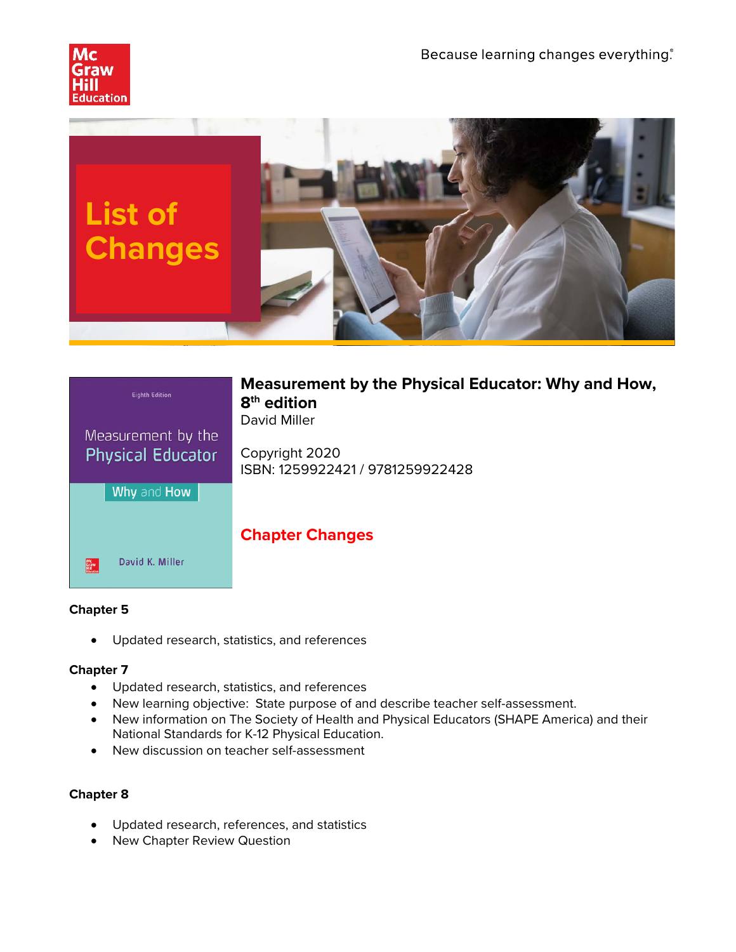



| <b>Eighth Edition</b>                 | <b>Measurement by the Physical Educator: Why and How,</b><br>8 <sup>th</sup> edition |
|---------------------------------------|--------------------------------------------------------------------------------------|
| Measurement by the                    | David Miller                                                                         |
| <b>Physical Educator</b>              | Copyright 2020<br>ISBN: 1259922421 / 9781259922428                                   |
| Why and How                           |                                                                                      |
|                                       | <b>Chapter Changes</b>                                                               |
| David K. Miller<br>Mc<br>Graw<br>Hill |                                                                                      |

# **Chapter 5**

• Updated research, statistics, and references

# **Chapter 7**

- Updated research, statistics, and references
- New learning objective: State purpose of and describe teacher self-assessment.
- New information on The Society of Health and Physical Educators (SHAPE America) and their National Standards for K-12 Physical Education.
- New discussion on teacher self-assessment

# **Chapter 8**

- Updated research, references, and statistics
- New Chapter Review Question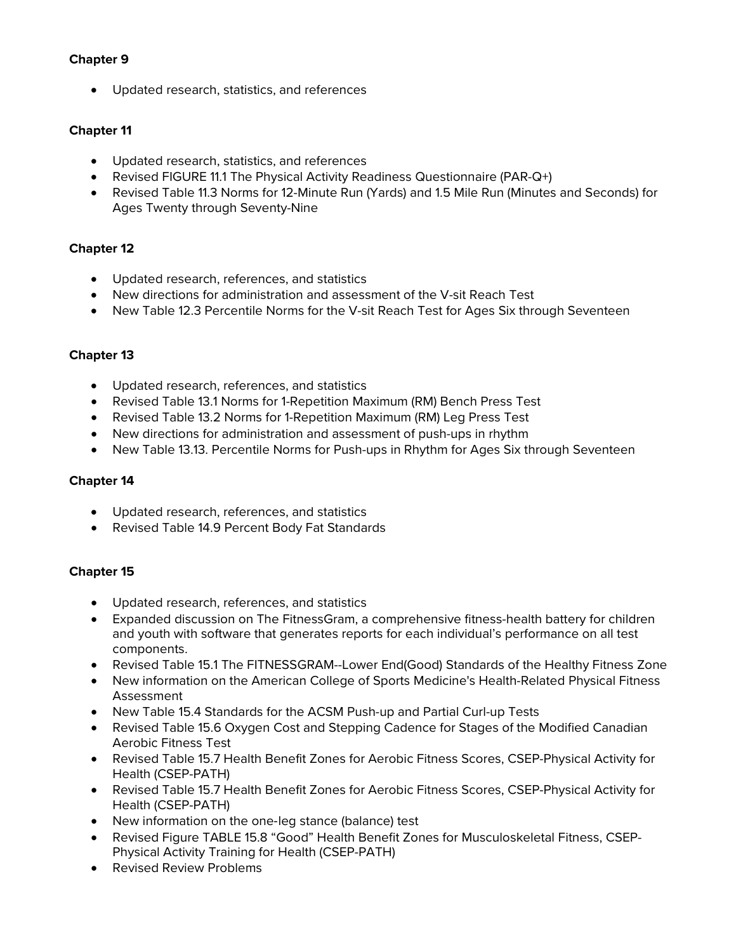# **Chapter 9**

• Updated research, statistics, and references

# **Chapter 11**

- Updated research, statistics, and references
- Revised FIGURE 11.1 The Physical Activity Readiness Questionnaire (PAR-Q+)
- Revised Table 11.3 Norms for 12-Minute Run (Yards) and 1.5 Mile Run (Minutes and Seconds) for Ages Twenty through Seventy-Nine

#### **Chapter 12**

- Updated research, references, and statistics
- New directions for administration and assessment of the V-sit Reach Test
- New Table 12.3 Percentile Norms for the V-sit Reach Test for Ages Six through Seventeen

#### **Chapter 13**

- Updated research, references, and statistics
- Revised Table 13.1 Norms for 1-Repetition Maximum (RM) Bench Press Test
- Revised Table 13.2 Norms for 1-Repetition Maximum (RM) Leg Press Test
- New directions for administration and assessment of push-ups in rhythm
- New Table 13.13. Percentile Norms for Push-ups in Rhythm for Ages Six through Seventeen

#### **Chapter 14**

- Updated research, references, and statistics
- Revised Table 14.9 Percent Body Fat Standards

#### **Chapter 15**

- Updated research, references, and statistics
- Expanded discussion on The FitnessGram, a comprehensive fitness-health battery for children and youth with software that generates reports for each individual's performance on all test components.
- Revised Table 15.1 The FITNESSGRAM--Lower End(Good) Standards of the Healthy Fitness Zone
- New information on the American College of Sports Medicine's Health-Related Physical Fitness Assessment
- New Table 15.4 Standards for the ACSM Push-up and Partial Curl-up Tests
- Revised Table 15.6 Oxygen Cost and Stepping Cadence for Stages of the Modified Canadian Aerobic Fitness Test
- Revised Table 15.7 Health Benefit Zones for Aerobic Fitness Scores, CSEP-Physical Activity for Health (CSEP-PATH)
- Revised Table 15.7 Health Benefit Zones for Aerobic Fitness Scores, CSEP-Physical Activity for Health (CSEP-PATH)
- New information on the one‐leg stance (balance) test
- Revised Figure TABLE 15.8 "Good" Health Benefit Zones for Musculoskeletal Fitness, CSEP-Physical Activity Training for Health (CSEP-PATH)
- Revised Review Problems